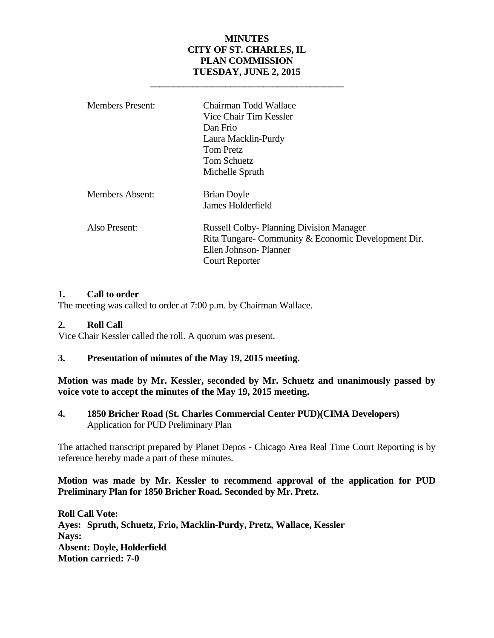### **MINUTES CITY OF ST. CHARLES, IL PLAN COMMISSION TUESDAY, JUNE 2, 2015**

 **\_\_\_\_\_\_\_\_\_\_\_\_\_\_\_\_\_\_\_\_\_\_\_\_\_\_\_\_\_\_\_\_\_\_\_\_\_\_\_\_\_** 

| <b>Members Present:</b> | Chairman Todd Wallace<br>Vice Chair Tim Kessler<br>Dan Frio<br>Laura Macklin-Purdy<br><b>Tom Pretz</b><br><b>Tom Schuetz</b><br>Michelle Spruth         |
|-------------------------|---------------------------------------------------------------------------------------------------------------------------------------------------------|
| Members Absent:         | <b>Brian Doyle</b><br>James Holderfield                                                                                                                 |
| Also Present:           | <b>Russell Colby-Planning Division Manager</b><br>Rita Tungare- Community & Economic Development Dir.<br>Ellen Johnson-Planner<br><b>Court Reporter</b> |

### **1. Call to order**

The meeting was called to order at 7:00 p.m. by Chairman Wallace.

### **2. Roll Call**

Vice Chair Kessler called the roll. A quorum was present.

### **3. Presentation of minutes of the May 19, 2015 meeting.**

**Motion was made by Mr. Kessler, seconded by Mr. Schuetz and unanimously passed by voice vote to accept the minutes of the May 19, 2015 meeting.** 

**4. 1850 Bricher Road (St. Charles Commercial Center PUD)(CIMA Developers)** Application for PUD Preliminary Plan

The attached transcript prepared by Planet Depos - Chicago Area Real Time Court Reporting is by reference hereby made a part of these minutes.

### **Motion was made by Mr. Kessler to recommend approval of the application for PUD Preliminary Plan for 1850 Bricher Road. Seconded by Mr. Pretz.**

**Roll Call Vote: Ayes: Spruth, Schuetz, Frio, Macklin-Purdy, Pretz, Wallace, Kessler Nays: Absent: Doyle, Holderfield Motion carried: 7-0**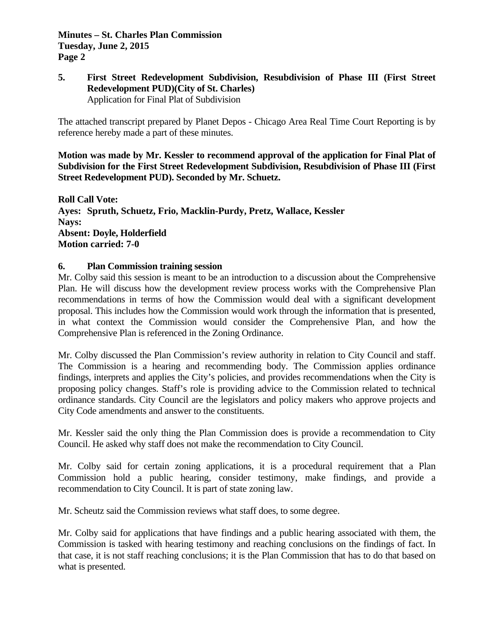### **5. First Street Redevelopment Subdivision, Resubdivision of Phase III (First Street Redevelopment PUD)(City of St. Charles)** Application for Final Plat of Subdivision

The attached transcript prepared by Planet Depos - Chicago Area Real Time Court Reporting is by reference hereby made a part of these minutes.

**Motion was made by Mr. Kessler to recommend approval of the application for Final Plat of Subdivision for the First Street Redevelopment Subdivision, Resubdivision of Phase III (First Street Redevelopment PUD). Seconded by Mr. Schuetz.** 

**Roll Call Vote: Ayes: Spruth, Schuetz, Frio, Macklin-Purdy, Pretz, Wallace, Kessler Nays: Absent: Doyle, Holderfield Motion carried: 7-0** 

### **6. Plan Commission training session**

Mr. Colby said this session is meant to be an introduction to a discussion about the Comprehensive Plan. He will discuss how the development review process works with the Comprehensive Plan recommendations in terms of how the Commission would deal with a significant development proposal. This includes how the Commission would work through the information that is presented, in what context the Commission would consider the Comprehensive Plan, and how the Comprehensive Plan is referenced in the Zoning Ordinance.

Mr. Colby discussed the Plan Commission's review authority in relation to City Council and staff. The Commission is a hearing and recommending body. The Commission applies ordinance findings, interprets and applies the City's policies, and provides recommendations when the City is proposing policy changes. Staff's role is providing advice to the Commission related to technical ordinance standards. City Council are the legislators and policy makers who approve projects and City Code amendments and answer to the constituents.

Mr. Kessler said the only thing the Plan Commission does is provide a recommendation to City Council. He asked why staff does not make the recommendation to City Council.

Mr. Colby said for certain zoning applications, it is a procedural requirement that a Plan Commission hold a public hearing, consider testimony, make findings, and provide a recommendation to City Council. It is part of state zoning law.

Mr. Scheutz said the Commission reviews what staff does, to some degree.

Mr. Colby said for applications that have findings and a public hearing associated with them, the Commission is tasked with hearing testimony and reaching conclusions on the findings of fact. In that case, it is not staff reaching conclusions; it is the Plan Commission that has to do that based on what is presented.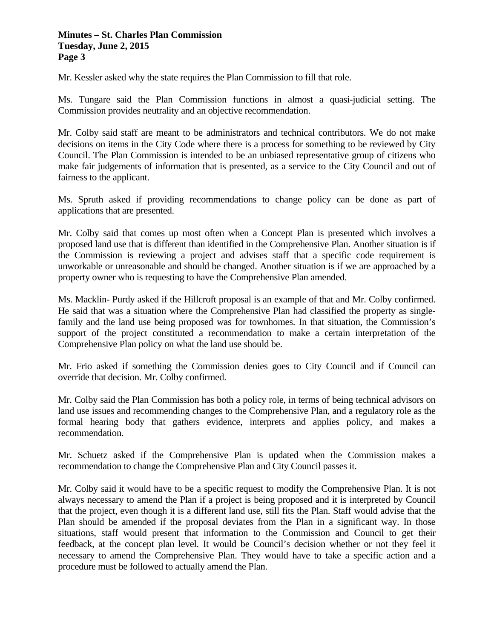Mr. Kessler asked why the state requires the Plan Commission to fill that role.

Ms. Tungare said the Plan Commission functions in almost a quasi-judicial setting. The Commission provides neutrality and an objective recommendation.

Mr. Colby said staff are meant to be administrators and technical contributors. We do not make decisions on items in the City Code where there is a process for something to be reviewed by City Council. The Plan Commission is intended to be an unbiased representative group of citizens who make fair judgements of information that is presented, as a service to the City Council and out of fairness to the applicant.

Ms. Spruth asked if providing recommendations to change policy can be done as part of applications that are presented.

Mr. Colby said that comes up most often when a Concept Plan is presented which involves a proposed land use that is different than identified in the Comprehensive Plan. Another situation is if the Commission is reviewing a project and advises staff that a specific code requirement is unworkable or unreasonable and should be changed. Another situation is if we are approached by a property owner who is requesting to have the Comprehensive Plan amended.

Ms. Macklin- Purdy asked if the Hillcroft proposal is an example of that and Mr. Colby confirmed. He said that was a situation where the Comprehensive Plan had classified the property as singlefamily and the land use being proposed was for townhomes. In that situation, the Commission's support of the project constituted a recommendation to make a certain interpretation of the Comprehensive Plan policy on what the land use should be.

Mr. Frio asked if something the Commission denies goes to City Council and if Council can override that decision. Mr. Colby confirmed.

Mr. Colby said the Plan Commission has both a policy role, in terms of being technical advisors on land use issues and recommending changes to the Comprehensive Plan, and a regulatory role as the formal hearing body that gathers evidence, interprets and applies policy, and makes a recommendation.

Mr. Schuetz asked if the Comprehensive Plan is updated when the Commission makes a recommendation to change the Comprehensive Plan and City Council passes it.

Mr. Colby said it would have to be a specific request to modify the Comprehensive Plan. It is not always necessary to amend the Plan if a project is being proposed and it is interpreted by Council that the project, even though it is a different land use, still fits the Plan. Staff would advise that the Plan should be amended if the proposal deviates from the Plan in a significant way. In those situations, staff would present that information to the Commission and Council to get their feedback, at the concept plan level. It would be Council's decision whether or not they feel it necessary to amend the Comprehensive Plan. They would have to take a specific action and a procedure must be followed to actually amend the Plan.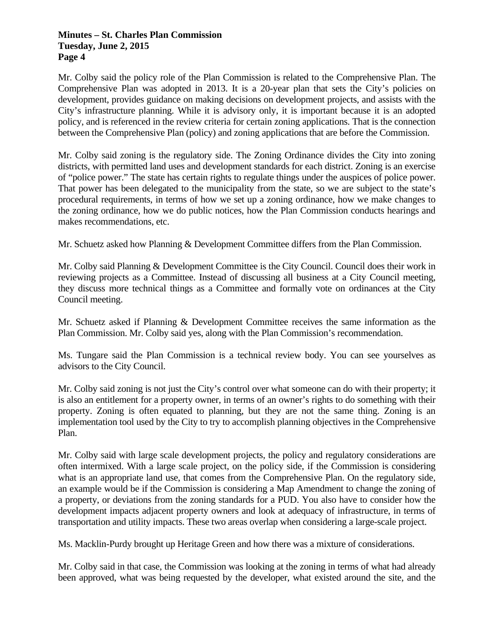Mr. Colby said the policy role of the Plan Commission is related to the Comprehensive Plan. The Comprehensive Plan was adopted in 2013. It is a 20-year plan that sets the City's policies on development, provides guidance on making decisions on development projects, and assists with the City's infrastructure planning. While it is advisory only, it is important because it is an adopted policy, and is referenced in the review criteria for certain zoning applications. That is the connection between the Comprehensive Plan (policy) and zoning applications that are before the Commission.

Mr. Colby said zoning is the regulatory side. The Zoning Ordinance divides the City into zoning districts, with permitted land uses and development standards for each district. Zoning is an exercise of "police power." The state has certain rights to regulate things under the auspices of police power. That power has been delegated to the municipality from the state, so we are subject to the state's procedural requirements, in terms of how we set up a zoning ordinance, how we make changes to the zoning ordinance, how we do public notices, how the Plan Commission conducts hearings and makes recommendations, etc.

Mr. Schuetz asked how Planning & Development Committee differs from the Plan Commission.

Mr. Colby said Planning & Development Committee is the City Council. Council does their work in reviewing projects as a Committee. Instead of discussing all business at a City Council meeting, they discuss more technical things as a Committee and formally vote on ordinances at the City Council meeting.

Mr. Schuetz asked if Planning & Development Committee receives the same information as the Plan Commission. Mr. Colby said yes, along with the Plan Commission's recommendation.

Ms. Tungare said the Plan Commission is a technical review body. You can see yourselves as advisors to the City Council.

Mr. Colby said zoning is not just the City's control over what someone can do with their property; it is also an entitlement for a property owner, in terms of an owner's rights to do something with their property. Zoning is often equated to planning, but they are not the same thing. Zoning is an implementation tool used by the City to try to accomplish planning objectives in the Comprehensive Plan.

Mr. Colby said with large scale development projects, the policy and regulatory considerations are often intermixed. With a large scale project, on the policy side, if the Commission is considering what is an appropriate land use, that comes from the Comprehensive Plan. On the regulatory side, an example would be if the Commission is considering a Map Amendment to change the zoning of a property, or deviations from the zoning standards for a PUD. You also have to consider how the development impacts adjacent property owners and look at adequacy of infrastructure, in terms of transportation and utility impacts. These two areas overlap when considering a large-scale project.

Ms. Macklin-Purdy brought up Heritage Green and how there was a mixture of considerations.

Mr. Colby said in that case, the Commission was looking at the zoning in terms of what had already been approved, what was being requested by the developer, what existed around the site, and the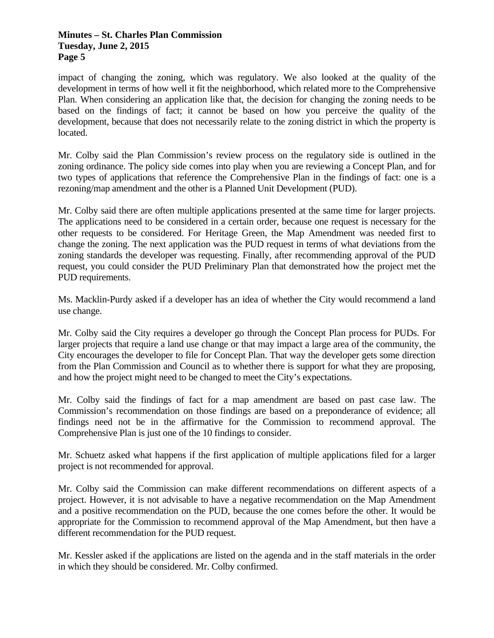impact of changing the zoning, which was regulatory. We also looked at the quality of the development in terms of how well it fit the neighborhood, which related more to the Comprehensive Plan. When considering an application like that, the decision for changing the zoning needs to be based on the findings of fact; it cannot be based on how you perceive the quality of the development, because that does not necessarily relate to the zoning district in which the property is located.

Mr. Colby said the Plan Commission's review process on the regulatory side is outlined in the zoning ordinance. The policy side comes into play when you are reviewing a Concept Plan, and for two types of applications that reference the Comprehensive Plan in the findings of fact: one is a rezoning/map amendment and the other is a Planned Unit Development (PUD).

Mr. Colby said there are often multiple applications presented at the same time for larger projects. The applications need to be considered in a certain order, because one request is necessary for the other requests to be considered. For Heritage Green, the Map Amendment was needed first to change the zoning. The next application was the PUD request in terms of what deviations from the zoning standards the developer was requesting. Finally, after recommending approval of the PUD request, you could consider the PUD Preliminary Plan that demonstrated how the project met the PUD requirements.

Ms. Macklin-Purdy asked if a developer has an idea of whether the City would recommend a land use change.

Mr. Colby said the City requires a developer go through the Concept Plan process for PUDs. For larger projects that require a land use change or that may impact a large area of the community, the City encourages the developer to file for Concept Plan. That way the developer gets some direction from the Plan Commission and Council as to whether there is support for what they are proposing, and how the project might need to be changed to meet the City's expectations.

Mr. Colby said the findings of fact for a map amendment are based on past case law. The Commission's recommendation on those findings are based on a preponderance of evidence; all findings need not be in the affirmative for the Commission to recommend approval. The Comprehensive Plan is just one of the 10 findings to consider.

Mr. Schuetz asked what happens if the first application of multiple applications filed for a larger project is not recommended for approval.

Mr. Colby said the Commission can make different recommendations on different aspects of a project. However, it is not advisable to have a negative recommendation on the Map Amendment and a positive recommendation on the PUD, because the one comes before the other. It would be appropriate for the Commission to recommend approval of the Map Amendment, but then have a different recommendation for the PUD request.

Mr. Kessler asked if the applications are listed on the agenda and in the staff materials in the order in which they should be considered. Mr. Colby confirmed.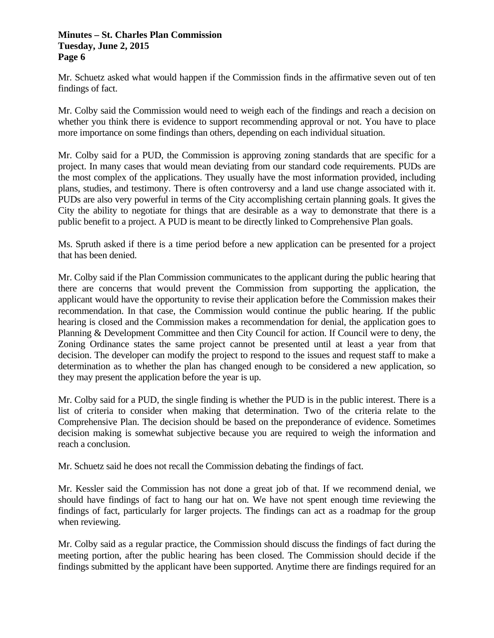Mr. Schuetz asked what would happen if the Commission finds in the affirmative seven out of ten findings of fact.

Mr. Colby said the Commission would need to weigh each of the findings and reach a decision on whether you think there is evidence to support recommending approval or not. You have to place more importance on some findings than others, depending on each individual situation.

Mr. Colby said for a PUD, the Commission is approving zoning standards that are specific for a project. In many cases that would mean deviating from our standard code requirements. PUDs are the most complex of the applications. They usually have the most information provided, including plans, studies, and testimony. There is often controversy and a land use change associated with it. PUDs are also very powerful in terms of the City accomplishing certain planning goals. It gives the City the ability to negotiate for things that are desirable as a way to demonstrate that there is a public benefit to a project. A PUD is meant to be directly linked to Comprehensive Plan goals.

Ms. Spruth asked if there is a time period before a new application can be presented for a project that has been denied.

Mr. Colby said if the Plan Commission communicates to the applicant during the public hearing that there are concerns that would prevent the Commission from supporting the application, the applicant would have the opportunity to revise their application before the Commission makes their recommendation. In that case, the Commission would continue the public hearing. If the public hearing is closed and the Commission makes a recommendation for denial, the application goes to Planning & Development Committee and then City Council for action. If Council were to deny, the Zoning Ordinance states the same project cannot be presented until at least a year from that decision. The developer can modify the project to respond to the issues and request staff to make a determination as to whether the plan has changed enough to be considered a new application, so they may present the application before the year is up.

Mr. Colby said for a PUD, the single finding is whether the PUD is in the public interest. There is a list of criteria to consider when making that determination. Two of the criteria relate to the Comprehensive Plan. The decision should be based on the preponderance of evidence. Sometimes decision making is somewhat subjective because you are required to weigh the information and reach a conclusion.

Mr. Schuetz said he does not recall the Commission debating the findings of fact.

Mr. Kessler said the Commission has not done a great job of that. If we recommend denial, we should have findings of fact to hang our hat on. We have not spent enough time reviewing the findings of fact, particularly for larger projects. The findings can act as a roadmap for the group when reviewing.

Mr. Colby said as a regular practice, the Commission should discuss the findings of fact during the meeting portion, after the public hearing has been closed. The Commission should decide if the findings submitted by the applicant have been supported. Anytime there are findings required for an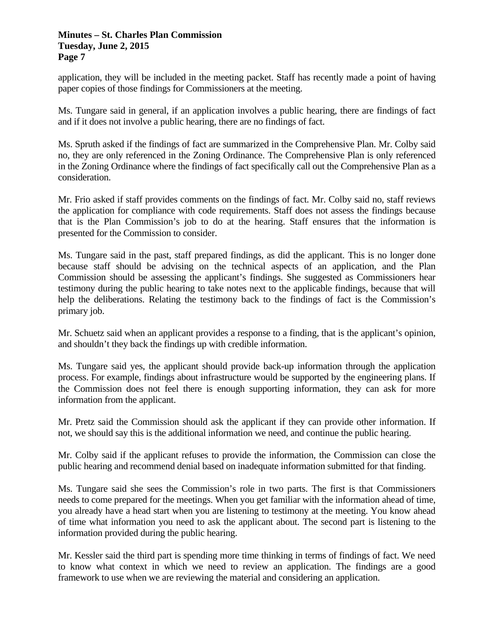application, they will be included in the meeting packet. Staff has recently made a point of having paper copies of those findings for Commissioners at the meeting.

Ms. Tungare said in general, if an application involves a public hearing, there are findings of fact and if it does not involve a public hearing, there are no findings of fact.

Ms. Spruth asked if the findings of fact are summarized in the Comprehensive Plan. Mr. Colby said no, they are only referenced in the Zoning Ordinance. The Comprehensive Plan is only referenced in the Zoning Ordinance where the findings of fact specifically call out the Comprehensive Plan as a consideration.

Mr. Frio asked if staff provides comments on the findings of fact. Mr. Colby said no, staff reviews the application for compliance with code requirements. Staff does not assess the findings because that is the Plan Commission's job to do at the hearing. Staff ensures that the information is presented for the Commission to consider.

Ms. Tungare said in the past, staff prepared findings, as did the applicant. This is no longer done because staff should be advising on the technical aspects of an application, and the Plan Commission should be assessing the applicant's findings. She suggested as Commissioners hear testimony during the public hearing to take notes next to the applicable findings, because that will help the deliberations. Relating the testimony back to the findings of fact is the Commission's primary job.

Mr. Schuetz said when an applicant provides a response to a finding, that is the applicant's opinion, and shouldn't they back the findings up with credible information.

Ms. Tungare said yes, the applicant should provide back-up information through the application process. For example, findings about infrastructure would be supported by the engineering plans. If the Commission does not feel there is enough supporting information, they can ask for more information from the applicant.

Mr. Pretz said the Commission should ask the applicant if they can provide other information. If not, we should say this is the additional information we need, and continue the public hearing.

Mr. Colby said if the applicant refuses to provide the information, the Commission can close the public hearing and recommend denial based on inadequate information submitted for that finding.

Ms. Tungare said she sees the Commission's role in two parts. The first is that Commissioners needs to come prepared for the meetings. When you get familiar with the information ahead of time, you already have a head start when you are listening to testimony at the meeting. You know ahead of time what information you need to ask the applicant about. The second part is listening to the information provided during the public hearing.

Mr. Kessler said the third part is spending more time thinking in terms of findings of fact. We need to know what context in which we need to review an application. The findings are a good framework to use when we are reviewing the material and considering an application.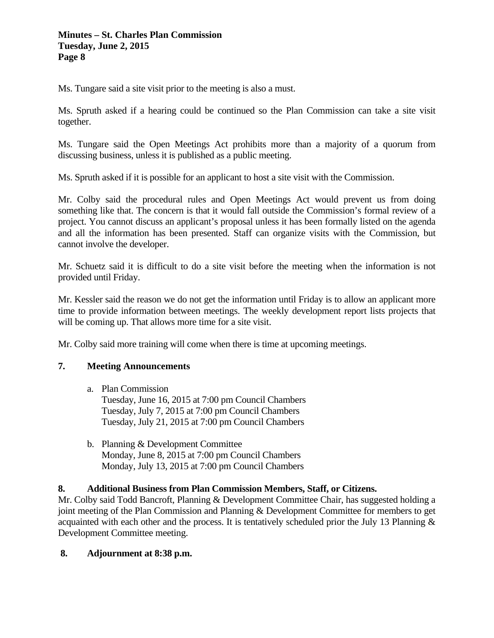Ms. Tungare said a site visit prior to the meeting is also a must.

Ms. Spruth asked if a hearing could be continued so the Plan Commission can take a site visit together.

Ms. Tungare said the Open Meetings Act prohibits more than a majority of a quorum from discussing business, unless it is published as a public meeting.

Ms. Spruth asked if it is possible for an applicant to host a site visit with the Commission.

Mr. Colby said the procedural rules and Open Meetings Act would prevent us from doing something like that. The concern is that it would fall outside the Commission's formal review of a project. You cannot discuss an applicant's proposal unless it has been formally listed on the agenda and all the information has been presented. Staff can organize visits with the Commission, but cannot involve the developer.

Mr. Schuetz said it is difficult to do a site visit before the meeting when the information is not provided until Friday.

Mr. Kessler said the reason we do not get the information until Friday is to allow an applicant more time to provide information between meetings. The weekly development report lists projects that will be coming up. That allows more time for a site visit.

Mr. Colby said more training will come when there is time at upcoming meetings.

### **7. Meeting Announcements**

a. Plan Commission

Tuesday, June 16, 2015 at 7:00 pm Council Chambers Tuesday, July 7, 2015 at 7:00 pm Council Chambers Tuesday, July 21, 2015 at 7:00 pm Council Chambers

b. Planning & Development Committee Monday, June 8, 2015 at 7:00 pm Council Chambers Monday, July 13, 2015 at 7:00 pm Council Chambers

### **8. Additional Business from Plan Commission Members, Staff, or Citizens.**

Mr. Colby said Todd Bancroft, Planning & Development Committee Chair, has suggested holding a joint meeting of the Plan Commission and Planning & Development Committee for members to get acquainted with each other and the process. It is tentatively scheduled prior the July 13 Planning & Development Committee meeting.

### **8. Adjournment at 8:38 p.m.**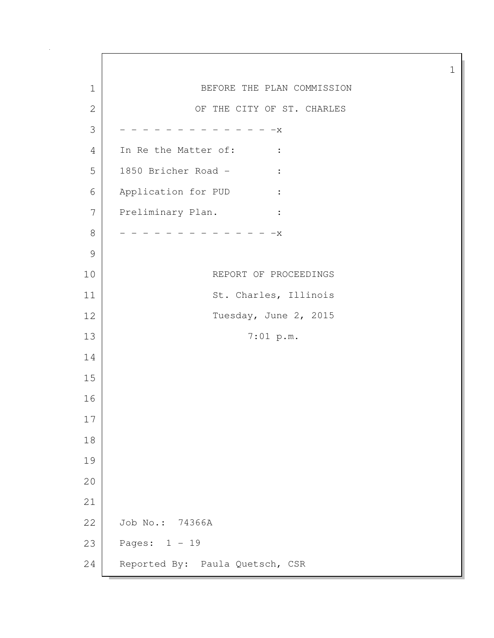1 BEFORE THE PLAN COMMISSION 2 OF THE CITY OF ST. CHARLES  $3$  - - - - - - - - - - - - X 4 In Re the Matter of: : 5 1850 Bricher Road - : 6 Application for PUD : 7 Preliminary Plan. : 8 - - - - - - - - - - - - X 9 10 REPORT OF PROCEEDINGS 11 St. Charles, Illinois 12 Tuesday, June 2, 2015 13 7:01 p.m. 14 15 16 17 18 19 20 21 22 Job No.: 74366A 23 Pages: 1 - 19 24 Reported By: Paula Quetsch, CSR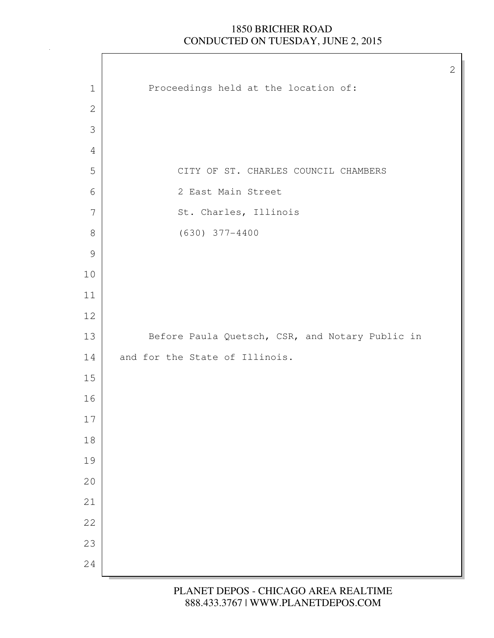$\Gamma$ 

| $\mathbf 1$   | Proceedings held at the location of:            |
|---------------|-------------------------------------------------|
| $\sqrt{2}$    |                                                 |
| 3             |                                                 |
| 4             |                                                 |
| 5             | CITY OF ST. CHARLES COUNCIL CHAMBERS            |
| $\sqrt{6}$    | 2 East Main Street                              |
| 7             | St. Charles, Illinois                           |
| $8\,$         | $(630)$ 377-4400                                |
| $\mathcal{G}$ |                                                 |
| 10            |                                                 |
| 11            |                                                 |
| 12            |                                                 |
| 13            | Before Paula Quetsch, CSR, and Notary Public in |
| 14            | and for the State of Illinois.                  |
| $15\,$        |                                                 |
| 16            |                                                 |
| 17            |                                                 |
| $18\,$        |                                                 |
| 19            |                                                 |
| 20            |                                                 |
| 21            |                                                 |
| 22            |                                                 |
| 23            |                                                 |
| 24            |                                                 |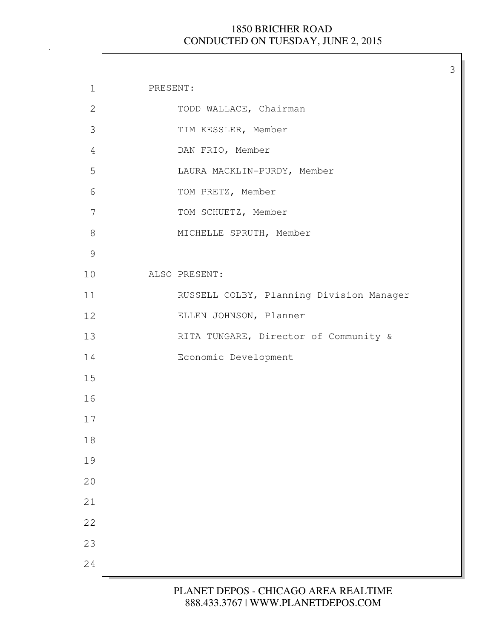3

| $\mathbf 1$<br>PRESENT:<br>TODD WALLACE, Chairman<br>$\mathbf{2}$<br>3<br>TIM KESSLER, Member<br>DAN FRIO, Member<br>4<br>5<br>LAURA MACKLIN-PURDY, Member<br>6<br>TOM PRETZ, Member<br>7<br>TOM SCHUETZ, Member<br>$8\,$<br>MICHELLE SPRUTH, Member<br>$\mathcal{G}$<br>ALSO PRESENT:<br>10<br>RUSSELL COLBY, Planning Division Manager<br>11<br>ELLEN JOHNSON, Planner<br>12<br>RITA TUNGARE, Director of Community &<br>13<br>Economic Development<br>14<br>15<br>16<br>17<br>18<br>19<br>20<br>21<br>22<br>23<br>24 |  |  |
|-------------------------------------------------------------------------------------------------------------------------------------------------------------------------------------------------------------------------------------------------------------------------------------------------------------------------------------------------------------------------------------------------------------------------------------------------------------------------------------------------------------------------|--|--|
|                                                                                                                                                                                                                                                                                                                                                                                                                                                                                                                         |  |  |
|                                                                                                                                                                                                                                                                                                                                                                                                                                                                                                                         |  |  |
|                                                                                                                                                                                                                                                                                                                                                                                                                                                                                                                         |  |  |
|                                                                                                                                                                                                                                                                                                                                                                                                                                                                                                                         |  |  |
|                                                                                                                                                                                                                                                                                                                                                                                                                                                                                                                         |  |  |
|                                                                                                                                                                                                                                                                                                                                                                                                                                                                                                                         |  |  |
|                                                                                                                                                                                                                                                                                                                                                                                                                                                                                                                         |  |  |
|                                                                                                                                                                                                                                                                                                                                                                                                                                                                                                                         |  |  |
|                                                                                                                                                                                                                                                                                                                                                                                                                                                                                                                         |  |  |
|                                                                                                                                                                                                                                                                                                                                                                                                                                                                                                                         |  |  |
|                                                                                                                                                                                                                                                                                                                                                                                                                                                                                                                         |  |  |
|                                                                                                                                                                                                                                                                                                                                                                                                                                                                                                                         |  |  |
|                                                                                                                                                                                                                                                                                                                                                                                                                                                                                                                         |  |  |
|                                                                                                                                                                                                                                                                                                                                                                                                                                                                                                                         |  |  |
|                                                                                                                                                                                                                                                                                                                                                                                                                                                                                                                         |  |  |
|                                                                                                                                                                                                                                                                                                                                                                                                                                                                                                                         |  |  |
|                                                                                                                                                                                                                                                                                                                                                                                                                                                                                                                         |  |  |
|                                                                                                                                                                                                                                                                                                                                                                                                                                                                                                                         |  |  |
|                                                                                                                                                                                                                                                                                                                                                                                                                                                                                                                         |  |  |
|                                                                                                                                                                                                                                                                                                                                                                                                                                                                                                                         |  |  |
|                                                                                                                                                                                                                                                                                                                                                                                                                                                                                                                         |  |  |
|                                                                                                                                                                                                                                                                                                                                                                                                                                                                                                                         |  |  |
|                                                                                                                                                                                                                                                                                                                                                                                                                                                                                                                         |  |  |
|                                                                                                                                                                                                                                                                                                                                                                                                                                                                                                                         |  |  |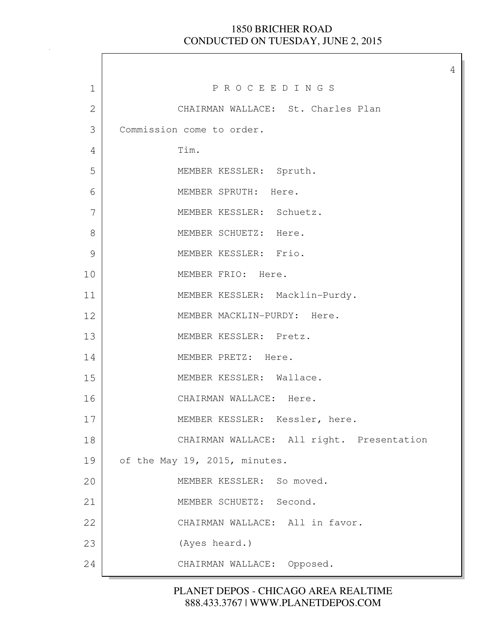4

| $\mathbf 1$  | PROCEEDINGS                               |
|--------------|-------------------------------------------|
| $\mathbf{2}$ | CHAIRMAN WALLACE: St. Charles Plan        |
| 3            | Commission come to order.                 |
| 4            | Tim.                                      |
| 5            | MEMBER KESSLER: Spruth.                   |
| 6            | MEMBER SPRUTH: Here.                      |
| 7            | MEMBER KESSLER: Schuetz.                  |
| 8            | MEMBER SCHUETZ: Here.                     |
| 9            | MEMBER KESSLER: Frio.                     |
| 10           | MEMBER FRIO: Here.                        |
| 11           | MEMBER KESSLER: Macklin-Purdy.            |
| 12           | MEMBER MACKLIN-PURDY: Here.               |
| 13           | MEMBER KESSLER: Pretz.                    |
| 14           | MEMBER PRETZ: Here.                       |
| 15           | MEMBER KESSLER: Wallace.                  |
| 16           | CHAIRMAN WALLACE: Here.                   |
| 17           | MEMBER KESSLER: Kessler, here.            |
| 18           | CHAIRMAN WALLACE: All right. Presentation |
| 19           | of the May 19, 2015, minutes.             |
| 20           | MEMBER KESSLER: So moved.                 |
| 21           | MEMBER SCHUETZ: Second.                   |
| 22           | CHAIRMAN WALLACE: All in favor.           |
| 23           | (Ayes heard.)                             |
| 24           | CHAIRMAN WALLACE: Opposed.                |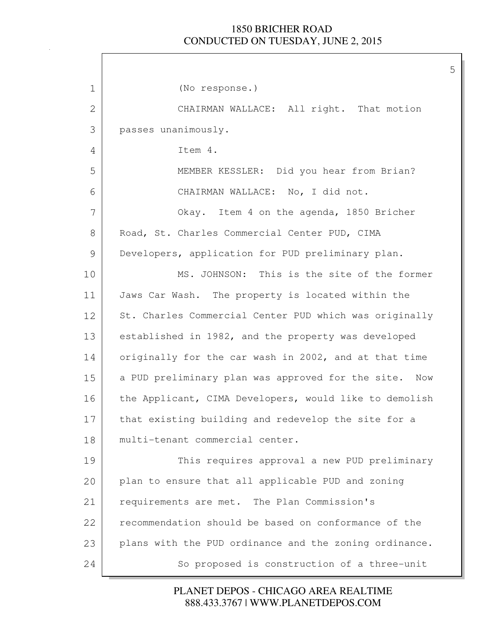| 1  | (No response.)                                         |
|----|--------------------------------------------------------|
| 2  | CHAIRMAN WALLACE: All right. That motion               |
| 3  | passes unanimously.                                    |
| 4  | Item 4.                                                |
| 5  | MEMBER KESSLER: Did you hear from Brian?               |
| 6  | CHAIRMAN WALLACE: No, I did not.                       |
| 7  | Okay. Item 4 on the agenda, 1850 Bricher               |
| 8  | Road, St. Charles Commercial Center PUD, CIMA          |
| 9  | Developers, application for PUD preliminary plan.      |
| 10 | MS. JOHNSON: This is the site of the former            |
| 11 | Jaws Car Wash. The property is located within the      |
| 12 | St. Charles Commercial Center PUD which was originally |
| 13 | established in 1982, and the property was developed    |
| 14 | originally for the car wash in 2002, and at that time  |
| 15 | a PUD preliminary plan was approved for the site. Now  |
| 16 | the Applicant, CIMA Developers, would like to demolish |
| 17 | that existing building and redevelop the site for a    |
| 18 | multi-tenant commercial center.                        |
| 19 | This requires approval a new PUD preliminary           |
| 20 | plan to ensure that all applicable PUD and zoning      |
| 21 | requirements are met. The Plan Commission's            |
| 22 | recommendation should be based on conformance of the   |
| 23 | plans with the PUD ordinance and the zoning ordinance. |
| 24 | So proposed is construction of a three-unit            |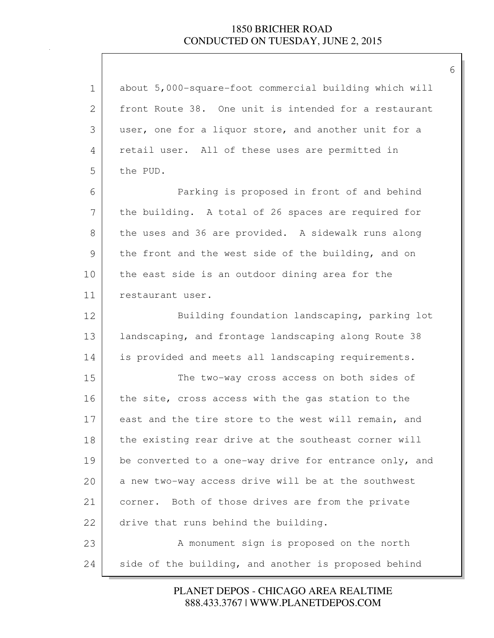| $\mathbf 1$ | about 5,000-square-foot commercial building which will |
|-------------|--------------------------------------------------------|
| 2           | front Route 38. One unit is intended for a restaurant  |
| 3           | user, one for a liquor store, and another unit for a   |
| 4           | retail user. All of these uses are permitted in        |
| 5           | the PUD.                                               |
| 6           | Parking is proposed in front of and behind             |
| 7           | the building. A total of 26 spaces are required for    |
| 8           | the uses and 36 are provided. A sidewalk runs along    |
| 9           | the front and the west side of the building, and on    |
| 10          | the east side is an outdoor dining area for the        |
| 11          | restaurant user.                                       |
| 12          | Building foundation landscaping, parking lot           |
| 13          | landscaping, and frontage landscaping along Route 38   |
| 14          | is provided and meets all landscaping requirements.    |
| 15          | The two-way cross access on both sides of              |
| 16          | the site, cross access with the gas station to the     |
| 17          | east and the tire store to the west will remain, and   |
| 18          | the existing rear drive at the southeast corner will   |
| 19          | be converted to a one-way drive for entrance only, and |
| 20          | a new two-way access drive will be at the southwest    |
| 21          | Both of those drives are from the private<br>corner.   |
| 22          | drive that runs behind the building.                   |
| 23          | A monument sign is proposed on the north               |
| 24          | side of the building, and another is proposed behind   |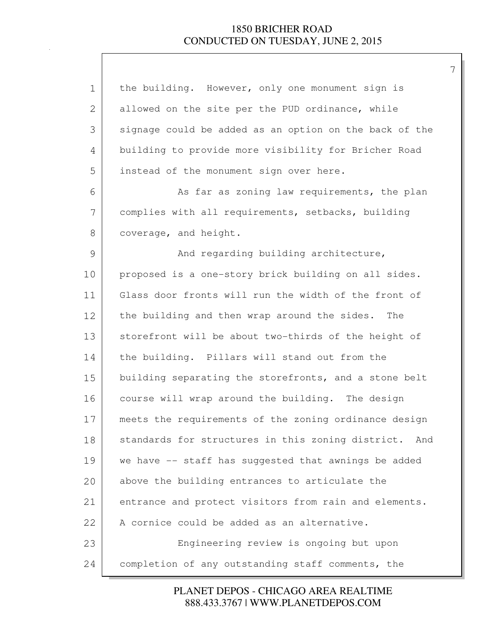| $\mathbf 1$  | the building. However, only one monument sign is       |
|--------------|--------------------------------------------------------|
| $\mathbf{2}$ | allowed on the site per the PUD ordinance, while       |
| 3            | signage could be added as an option on the back of the |
| 4            | building to provide more visibility for Bricher Road   |
| 5            | instead of the monument sign over here.                |
| 6            | As far as zoning law requirements, the plan            |
| 7            | complies with all requirements, setbacks, building     |
| 8            | coverage, and height.                                  |
| 9            | And regarding building architecture,                   |
| 10           | proposed is a one-story brick building on all sides.   |
| 11           | Glass door fronts will run the width of the front of   |
| 12           | the building and then wrap around the sides.<br>The    |
| 13           | storefront will be about two-thirds of the height of   |
| 14           | the building. Pillars will stand out from the          |
| 15           | building separating the storefronts, and a stone belt  |
| 16           | course will wrap around the building. The design       |
| 17           | meets the requirements of the zoning ordinance design  |
| 18           | standards for structures in this zoning district. And  |
| 19           | we have -- staff has suggested that awnings be added   |
| 20           | above the building entrances to articulate the         |
| 21           | entrance and protect visitors from rain and elements.  |
| 22           | A cornice could be added as an alternative.            |
| 23           | Engineering review is ongoing but upon                 |
| 24           | completion of any outstanding staff comments, the      |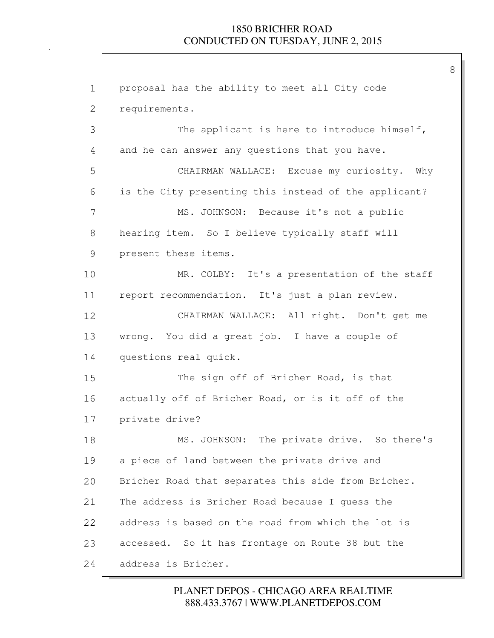8

1 proposal has the ability to meet all City code 2 requirements. 3 The applicant is here to introduce himself, 4 and he can answer any questions that you have. 5 CHAIRMAN WALLACE: Excuse my curiosity. Why 6 is the City presenting this instead of the applicant? 7 MS. JOHNSON: Because it's not a public 8 hearing item. So I believe typically staff will 9 present these items. 10 MR. COLBY: It's a presentation of the staff 11 report recommendation. It's just a plan review. 12 CHAIRMAN WALLACE: All right. Don't get me 13 | wrong. You did a great job. I have a couple of 14 questions real quick. 15 The sign off of Bricher Road, is that 16 actually off of Bricher Road, or is it off of the 17 private drive? 18 MS. JOHNSON: The private drive. So there's 19 a piece of land between the private drive and 20 Bricher Road that separates this side from Bricher. 21 The address is Bricher Road because I quess the 22 address is based on the road from which the lot is 23 accessed. So it has frontage on Route 38 but the 24 address is Bricher.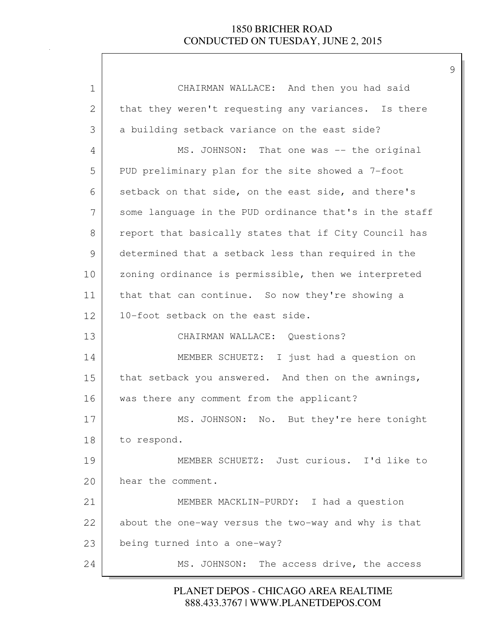| $\mathbf 1$  | CHAIRMAN WALLACE: And then you had said                |
|--------------|--------------------------------------------------------|
| $\mathbf{2}$ | that they weren't requesting any variances. Is there   |
| 3            | a building setback variance on the east side?          |
| 4            | MS. JOHNSON: That one was -- the original              |
| 5            | PUD preliminary plan for the site showed a 7-foot      |
| 6            | setback on that side, on the east side, and there's    |
| 7            | some language in the PUD ordinance that's in the staff |
| 8            | report that basically states that if City Council has  |
| 9            | determined that a setback less than required in the    |
| 10           | zoning ordinance is permissible, then we interpreted   |
| 11           | that that can continue. So now they're showing a       |
| 12           | 10-foot setback on the east side.                      |
| 13           | CHAIRMAN WALLACE: Questions?                           |
| 14           | MEMBER SCHUETZ: I just had a question on               |
| 15           | that setback you answered. And then on the awnings,    |
| 16           | was there any comment from the applicant?              |
| 17           | MS. JOHNSON: No. But they're here tonight              |
| 18           | to respond.                                            |
| 19           | MEMBER SCHUETZ: Just curious. I'd like to              |
| 20           | hear the comment.                                      |
| 21           | MEMBER MACKLIN-PURDY: I had a question                 |
| 22           | about the one-way versus the two-way and why is that   |
| 23           | being turned into a one-way?                           |
| 24           | MS. JOHNSON: The access drive, the access              |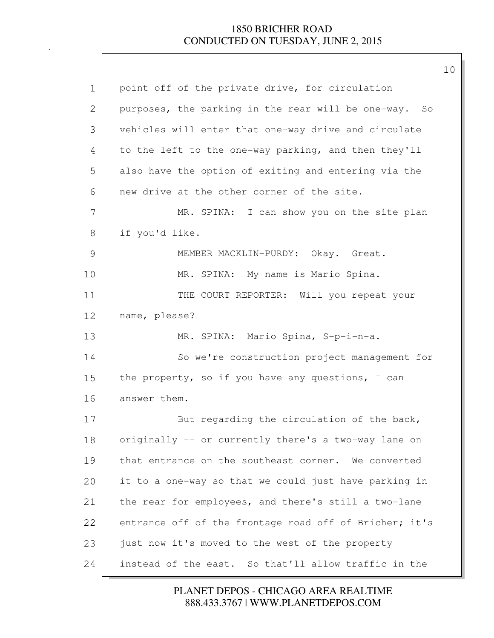| $\mathbf 1$ | point off of the private drive, for circulation        |
|-------------|--------------------------------------------------------|
| 2           | purposes, the parking in the rear will be one-way. So  |
| 3           | vehicles will enter that one-way drive and circulate   |
| 4           | to the left to the one-way parking, and then they'll   |
| 5           | also have the option of exiting and entering via the   |
| 6           | new drive at the other corner of the site.             |
| 7           | MR. SPINA: I can show you on the site plan             |
| 8           | if you'd like.                                         |
| 9           | MEMBER MACKLIN-PURDY: Okay. Great.                     |
| 10          | MR. SPINA: My name is Mario Spina.                     |
| 11          | THE COURT REPORTER: Will you repeat your               |
| 12          | name, please?                                          |
| 13          | MR. SPINA: Mario Spina, S-p-i-n-a.                     |
| 14          | So we're construction project management for           |
| 15          | the property, so if you have any questions, I can      |
| 16          | answer them.                                           |
| 17          | But regarding the circulation of the back,             |
| 18          | originally -- or currently there's a two-way lane on   |
| 19          | that entrance on the southeast corner. We converted    |
| 20          | it to a one-way so that we could just have parking in  |
| 21          | the rear for employees, and there's still a two-lane   |
| 22          | entrance off of the frontage road off of Bricher; it's |
| 23          | just now it's moved to the west of the property        |
| 24          | instead of the east. So that'll allow traffic in the   |

888.433.3767 | WWW.PLANETDEPOS.COM PLANET DEPOS - CHICAGO AREA REALTIME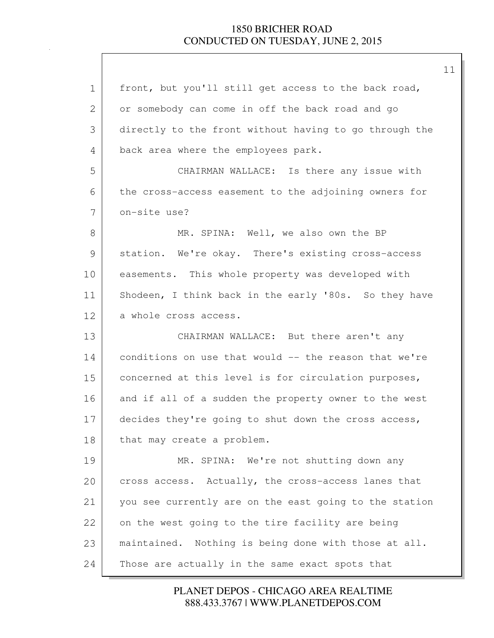| $\mathbf 1$ | front, but you'll still get access to the back road,   |
|-------------|--------------------------------------------------------|
| 2           | or somebody can come in off the back road and go       |
| 3           | directly to the front without having to go through the |
| 4           | back area where the employees park.                    |
| 5           | CHAIRMAN WALLACE: Is there any issue with              |
| 6           | the cross-access easement to the adjoining owners for  |
| 7           | on-site use?                                           |
| 8           | MR. SPINA: Well, we also own the BP                    |
| 9           | station. We're okay. There's existing cross-access     |
| 10          | easements. This whole property was developed with      |
| 11          | Shodeen, I think back in the early '80s. So they have  |
| 12          | a whole cross access.                                  |
| 13          | CHAIRMAN WALLACE: But there aren't any                 |
| 14          | conditions on use that would -- the reason that we're  |
| 15          | concerned at this level is for circulation purposes,   |
| 16          | and if all of a sudden the property owner to the west  |
| 17          | decides they're going to shut down the cross access,   |
| 18          | that may create a problem.                             |
| 19          | MR. SPINA: We're not shutting down any                 |
| 20          | cross access. Actually, the cross-access lanes that    |
| 21          | you see currently are on the east going to the station |
| 22          | on the west going to the tire facility are being       |
|             |                                                        |
| 23          | maintained. Nothing is being done with those at all.   |

888.433.3767 | WWW.PLANETDEPOS.COM PLANET DEPOS - CHICAGO AREA REALTIME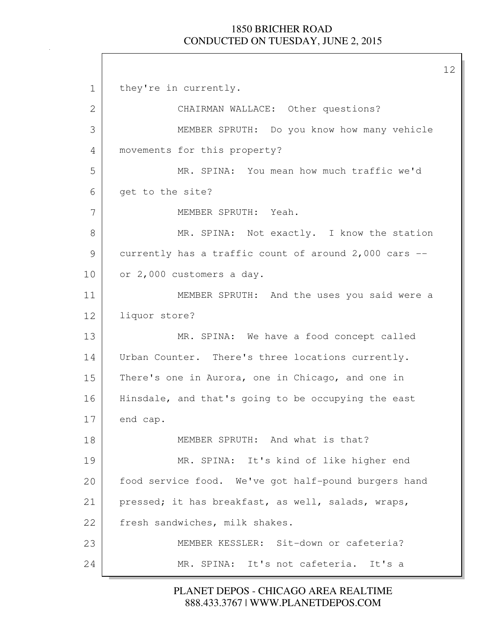1 they're in currently. 2 | CHAIRMAN WALLACE: Other questions? 3 MEMBER SPRUTH: Do you know how many vehicle 4 movements for this property? 5 MR. SPINA: You mean how much traffic we'd 6 get to the site? 7 MEMBER SPRUTH: Yeah. 8 MR. SPINA: Not exactly. I know the station 9 currently has a traffic count of around 2,000 cars -- 10 or 2,000 customers a day. 11 MEMBER SPRUTH: And the uses you said were a 12 liquor store? 13 MR. SPINA: We have a food concept called 14 | Urban Counter. There's three locations currently. 15 There's one in Aurora, one in Chicago, and one in 16 Hinsdale, and that's going to be occupying the east 17 end cap. 18 MEMBER SPRUTH: And what is that? 19 MR. SPINA: It's kind of like higher end 20 | food service food. We've got half-pound burgers hand 21 pressed; it has breakfast, as well, salads, wraps, 22 fresh sandwiches, milk shakes. 23 MEMBER KESSLER: Sit-down or cafeteria? 24 MR. SPINA: It's not cafeteria. It's a

> 888.433.3767 | WWW.PLANETDEPOS.COM PLANET DEPOS - CHICAGO AREA REALTIME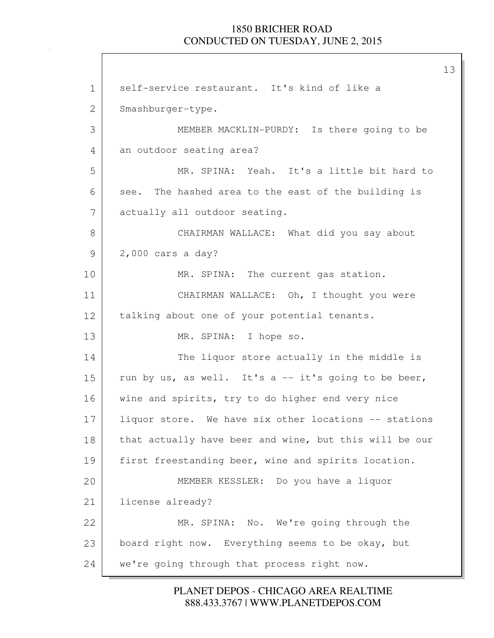13

1 self-service restaurant. It's kind of like a 2 Smashburger-type. 3 MEMBER MACKLIN-PURDY: Is there going to be 4 an outdoor seating area? 5 MR. SPINA: Yeah. It's a little bit hard to 6 see. The hashed area to the east of the building is 7 actually all outdoor seating. 8 | CHAIRMAN WALLACE: What did you say about 9 2,000 cars a day? 10 MR. SPINA: The current gas station. 11 CHAIRMAN WALLACE: Oh, I thought you were 12 | talking about one of your potential tenants. 13 MR. SPINA: I hope so. 14 The liquor store actually in the middle is 15 | run by us, as well. It's a  $-$  it's going to be beer, 16 wine and spirits, try to do higher end very nice 17 liquor store. We have six other locations -- stations 18 | that actually have beer and wine, but this will be our 19 | first freestanding beer, wine and spirits location. 20 MEMBER KESSLER: Do you have a liquor 21 license already? 22 MR. SPINA: No. We're going through the 23 board right now. Everything seems to be okay, but 24 we're going through that process right now.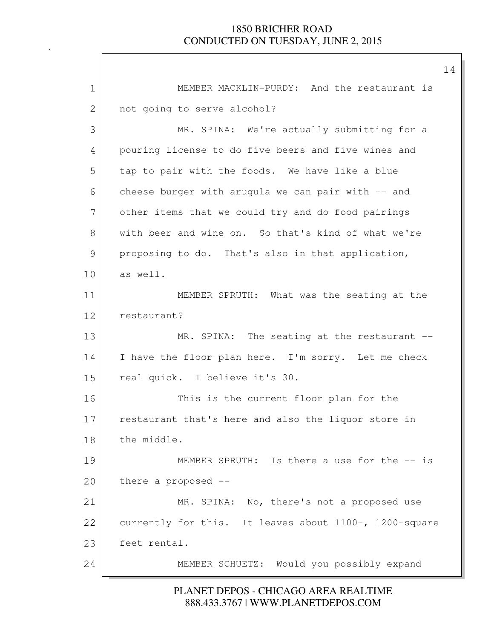1 MEMBER MACKLIN-PURDY: And the restaurant is 2 not going to serve alcohol? 3 MR. SPINA: We're actually submitting for a 4 pouring license to do five beers and five wines and 5 tap to pair with the foods. We have like a blue 6 cheese burger with arugula we can pair with -- and 7 other items that we could try and do food pairings 8 with beer and wine on. So that's kind of what we're 9 proposing to do. That's also in that application, 10 as well. 11 MEMBER SPRUTH: What was the seating at the 12 restaurant? 13 MR. SPINA: The seating at the restaurant --14 I have the floor plan here. I'm sorry. Let me check 15 real quick. I believe it's 30. 16 This is the current floor plan for the 17 restaurant that's here and also the liquor store in 18 | the middle. 19 MEMBER SPRUTH: Is there a use for the  $-$  is 20 there a proposed --21 MR. SPINA: No, there's not a proposed use 22 currently for this. It leaves about 1100-, 1200-square 23 feet rental. 24 MEMBER SCHUETZ: Would you possibly expand

### 888.433.3767 | WWW.PLANETDEPOS.COM PLANET DEPOS - CHICAGO AREA REALTIME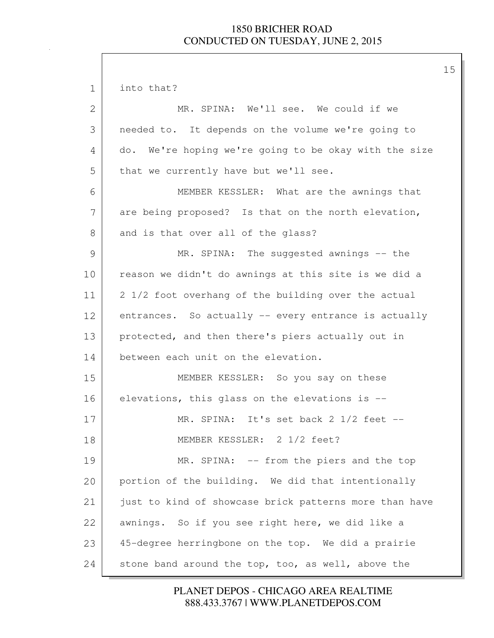1 into that? 2 MR. SPINA: We'll see. We could if we 3 needed to. It depends on the volume we're going to 4 do. We're hoping we're going to be okay with the size 5 that we currently have but we'll see. 6 MEMBER KESSLER: What are the awnings that 7 are being proposed? Is that on the north elevation, 8 and is that over all of the glass? 9 MR. SPINA: The suggested awnings -- the 10 reason we didn't do awnings at this site is we did a 11 | 2 1/2 foot overhang of the building over the actual 12 entrances. So actually -- every entrance is actually 13 protected, and then there's piers actually out in 14 between each unit on the elevation. 15 MEMBER KESSLER: So you say on these 16 elevations, this glass on the elevations is -- 17 MR. SPINA: It's set back 2 1/2 feet -- 18 MEMBER KESSLER: 2 1/2 feet? 19 MR. SPINA: -- from the piers and the top 20 portion of the building. We did that intentionally 21 just to kind of showcase brick patterns more than have 22 awnings. So if you see right here, we did like a 23 45-degree herringbone on the top. We did a prairie 24 stone band around the top, too, as well, above the

> 888.433.3767 | WWW.PLANETDEPOS.COM PLANET DEPOS - CHICAGO AREA REALTIME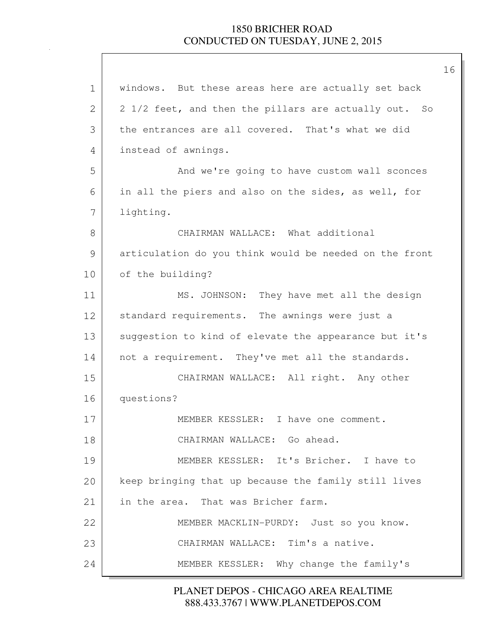| $\mathbf 1$ | windows. But these areas here are actually set back    |
|-------------|--------------------------------------------------------|
| 2           | 2 1/2 feet, and then the pillars are actually out. So  |
| 3           | the entrances are all covered. That's what we did      |
| 4           | instead of awnings.                                    |
| 5           | And we're going to have custom wall sconces            |
| 6           | in all the piers and also on the sides, as well, for   |
| 7           | lighting.                                              |
| 8           | CHAIRMAN WALLACE: What additional                      |
| 9           | articulation do you think would be needed on the front |
| 10          | of the building?                                       |
| 11          | MS. JOHNSON: They have met all the design              |
| 12          | standard requirements. The awnings were just a         |
| 13          | suggestion to kind of elevate the appearance but it's  |
| 14          | not a requirement. They've met all the standards.      |
| 15          | CHAIRMAN WALLACE: All right. Any other                 |
| 16          | questions?                                             |
| 17          | MEMBER KESSLER: I have one comment.                    |
| 18          | CHAIRMAN WALLACE: Go ahead.                            |
| 19          | MEMBER KESSLER: It's Bricher. I have to                |
| 20          | keep bringing that up because the family still lives   |
| 21          | in the area. That was Bricher farm.                    |
| 22          | MEMBER MACKLIN-PURDY: Just so you know.                |
| 23          | CHAIRMAN WALLACE: Tim's a native.                      |
| 24          | MEMBER KESSLER: Why change the family's                |

888.433.3767 | WWW.PLANETDEPOS.COM PLANET DEPOS - CHICAGO AREA REALTIME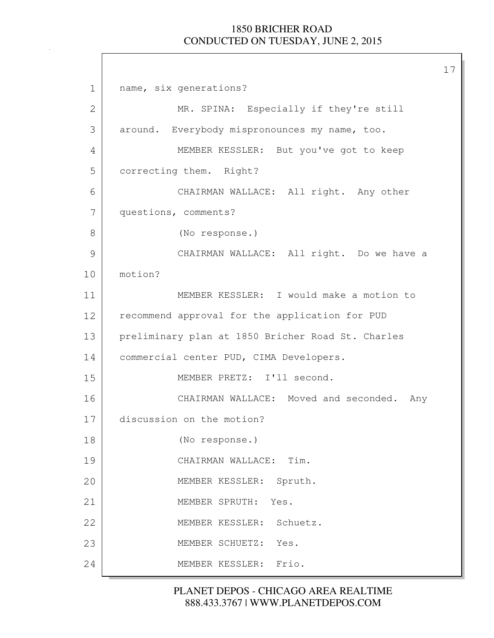17

1 name, six generations? 2 MR. SPINA: Especially if they're still 3 around. Everybody mispronounces my name, too. 4 MEMBER KESSLER: But you've got to keep 5 correcting them. Right? 6 CHAIRMAN WALLACE: All right. Any other 7 questions, comments? 8 (No response.) 9 CHAIRMAN WALLACE: All right. Do we have a 10 motion? 11 MEMBER KESSLER: I would make a motion to 12 recommend approval for the application for PUD 13 preliminary plan at 1850 Bricher Road St. Charles 14 | commercial center PUD, CIMA Developers. 15 MEMBER PRETZ: I'll second. 16 CHAIRMAN WALLACE: Moved and seconded. Any 17 discussion on the motion? 18 (No response.) 19 CHAIRMAN WALLACE: Tim. 20 MEMBER KESSLER: Spruth. 21 MEMBER SPRUTH: Yes. 22 MEMBER KESSLER: Schuetz. 23 MEMBER SCHUETZ: Yes. 24 MEMBER KESSLER: Frio.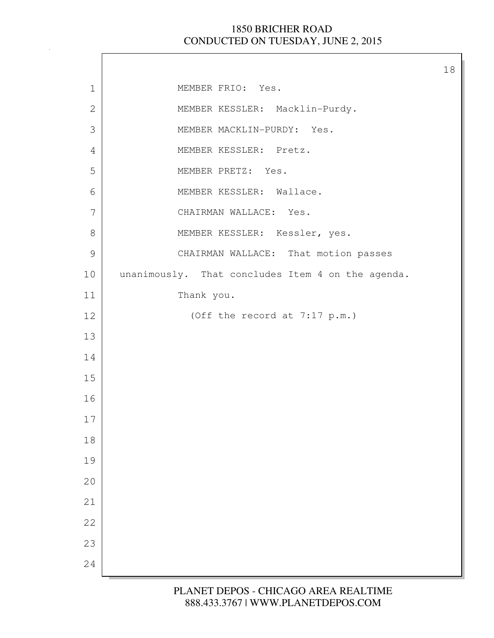$\lceil$ 

| $\mathbf 1$   | MEMBER FRIO: Yes.                                 |
|---------------|---------------------------------------------------|
| $\mathbf{2}$  | MEMBER KESSLER: Macklin-Purdy.                    |
| 3             | MEMBER MACKLIN-PURDY: Yes.                        |
| 4             | MEMBER KESSLER: Pretz.                            |
| 5             | MEMBER PRETZ: Yes.                                |
| 6             | MEMBER KESSLER: Wallace.                          |
| 7             | CHAIRMAN WALLACE: Yes.                            |
| $8\,$         | MEMBER KESSLER: Kessler, yes.                     |
| $\mathcal{G}$ | CHAIRMAN WALLACE: That motion passes              |
| 10            | unanimously. That concludes Item 4 on the agenda. |
| 11            | Thank you.                                        |
| 12            | (Off the record at 7:17 p.m.)                     |
| 13            |                                                   |
| 14            |                                                   |
| 15            |                                                   |
| 16            |                                                   |
| 17            |                                                   |
| 18            |                                                   |
| 19            |                                                   |
| 20            |                                                   |
| 21            |                                                   |
| 22            |                                                   |
| 23            |                                                   |
| 24            |                                                   |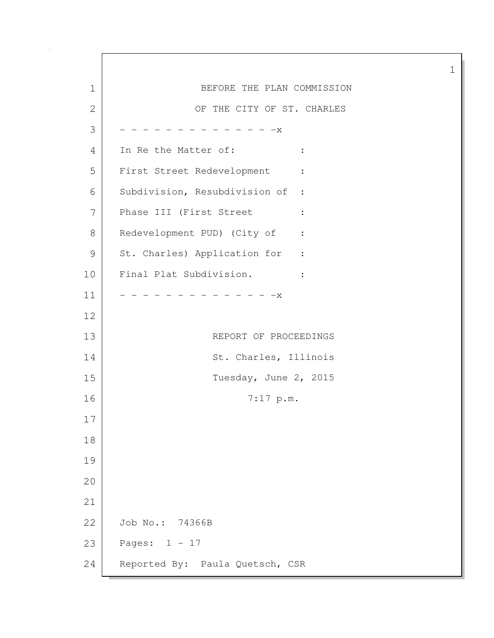1 BEFORE THE PLAN COMMISSION 2 OF THE CITY OF ST. CHARLES  $3$  - - - - - - - - - - - - - X 4 In Re the Matter of: : 5 First Street Redevelopment : 6 Subdivision, Resubdivision of : 7 Phase III (First Street : 8 Redevelopment PUD) (City of : 9 St. Charles) Application for : 10 Final Plat Subdivision. :  $11$   $-$  - - - - - - - - - - - - x 12 13 REPORT OF PROCEEDINGS 14 St. Charles, Illinois 15 Tuesday, June 2, 2015 16 7:17 p.m. 17 18 19 20 21 22 Job No.: 74366B 23 Pages: 1 - 17 24 Reported By: Paula Quetsch, CSR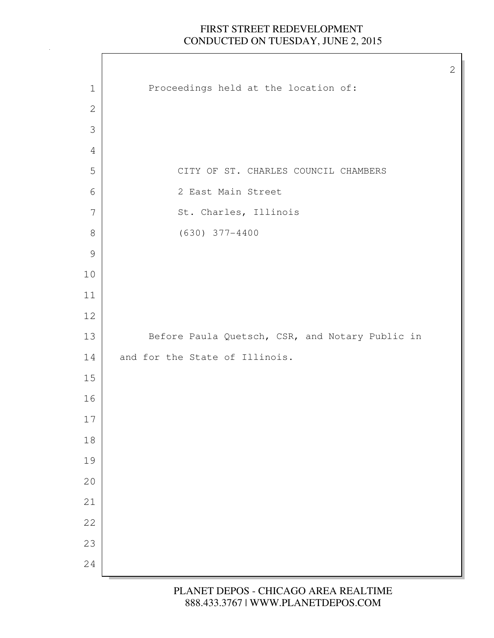$\Gamma$ 

| $\mathbf 1$    | Proceedings held at the location of:            |
|----------------|-------------------------------------------------|
| $\mathbf{2}$   |                                                 |
| $\mathfrak{Z}$ |                                                 |
| 4              |                                                 |
| 5              | CITY OF ST. CHARLES COUNCIL CHAMBERS            |
| 6              | 2 East Main Street                              |
| 7              | St. Charles, Illinois                           |
| $8\,$          | $(630)$ 377-4400                                |
| $\mathcal{G}$  |                                                 |
| $10$           |                                                 |
| 11             |                                                 |
| $12\,$         |                                                 |
| 13             | Before Paula Quetsch, CSR, and Notary Public in |
| 14             | and for the State of Illinois.                  |
| $15\,$         |                                                 |
| 16             |                                                 |
| 17             |                                                 |
| $18\,$         |                                                 |
| 19             |                                                 |
| 20             |                                                 |
| 21             |                                                 |
| 22             |                                                 |
| 23             |                                                 |
| 24             |                                                 |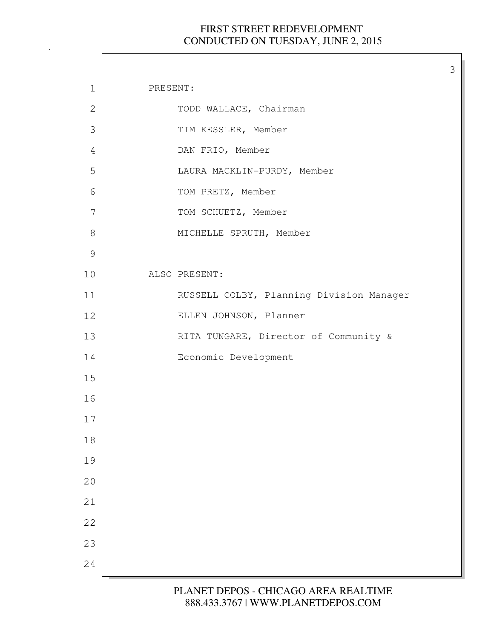| PRESENT:<br>$\mathbf 1$<br>$\mathbf{2}$<br>TODD WALLACE, Chairman<br>3<br>TIM KESSLER, Member<br>DAN FRIO, Member<br>4<br>5<br>LAURA MACKLIN-PURDY, Member<br>6<br>TOM PRETZ, Member<br>7<br>TOM SCHUETZ, Member<br>$8\,$<br>MICHELLE SPRUTH, Member<br>$\mathcal{G}$<br>ALSO PRESENT:<br>10<br>RUSSELL COLBY, Planning Division Manager<br>11<br>ELLEN JOHNSON, Planner<br>12<br>RITA TUNGARE, Director of Community &<br>13<br>Economic Development<br>14<br>15<br>16<br>17<br>18<br>19<br>20<br>21<br>22<br>23 |    |  |
|-------------------------------------------------------------------------------------------------------------------------------------------------------------------------------------------------------------------------------------------------------------------------------------------------------------------------------------------------------------------------------------------------------------------------------------------------------------------------------------------------------------------|----|--|
|                                                                                                                                                                                                                                                                                                                                                                                                                                                                                                                   |    |  |
|                                                                                                                                                                                                                                                                                                                                                                                                                                                                                                                   |    |  |
|                                                                                                                                                                                                                                                                                                                                                                                                                                                                                                                   |    |  |
|                                                                                                                                                                                                                                                                                                                                                                                                                                                                                                                   |    |  |
|                                                                                                                                                                                                                                                                                                                                                                                                                                                                                                                   |    |  |
|                                                                                                                                                                                                                                                                                                                                                                                                                                                                                                                   |    |  |
|                                                                                                                                                                                                                                                                                                                                                                                                                                                                                                                   |    |  |
|                                                                                                                                                                                                                                                                                                                                                                                                                                                                                                                   |    |  |
|                                                                                                                                                                                                                                                                                                                                                                                                                                                                                                                   |    |  |
|                                                                                                                                                                                                                                                                                                                                                                                                                                                                                                                   |    |  |
|                                                                                                                                                                                                                                                                                                                                                                                                                                                                                                                   |    |  |
|                                                                                                                                                                                                                                                                                                                                                                                                                                                                                                                   |    |  |
|                                                                                                                                                                                                                                                                                                                                                                                                                                                                                                                   |    |  |
|                                                                                                                                                                                                                                                                                                                                                                                                                                                                                                                   |    |  |
|                                                                                                                                                                                                                                                                                                                                                                                                                                                                                                                   |    |  |
|                                                                                                                                                                                                                                                                                                                                                                                                                                                                                                                   |    |  |
|                                                                                                                                                                                                                                                                                                                                                                                                                                                                                                                   |    |  |
|                                                                                                                                                                                                                                                                                                                                                                                                                                                                                                                   |    |  |
|                                                                                                                                                                                                                                                                                                                                                                                                                                                                                                                   |    |  |
|                                                                                                                                                                                                                                                                                                                                                                                                                                                                                                                   |    |  |
|                                                                                                                                                                                                                                                                                                                                                                                                                                                                                                                   |    |  |
|                                                                                                                                                                                                                                                                                                                                                                                                                                                                                                                   |    |  |
|                                                                                                                                                                                                                                                                                                                                                                                                                                                                                                                   |    |  |
|                                                                                                                                                                                                                                                                                                                                                                                                                                                                                                                   | 24 |  |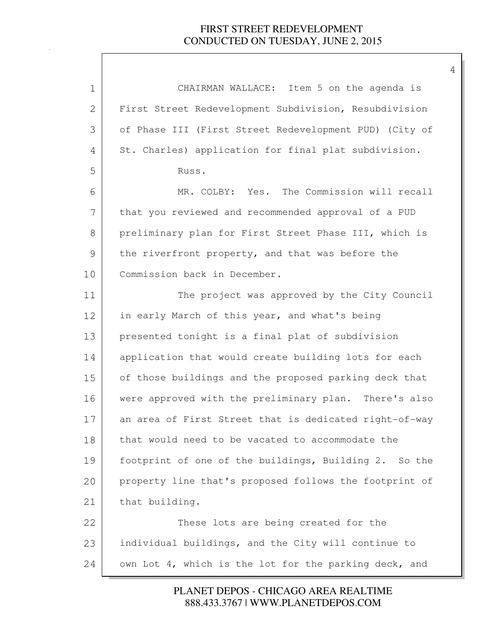| $\mathbf 1$   | CHAIRMAN WALLACE: Item 5 on the agenda is              |
|---------------|--------------------------------------------------------|
| $\mathbf{2}$  | First Street Redevelopment Subdivision, Resubdivision  |
| 3             | of Phase III (First Street Redevelopment PUD) (City of |
| 4             | St. Charles) application for final plat subdivision.   |
| 5             | Russ.                                                  |
| 6             | The Commission will recall<br>MR. COLBY: Yes.          |
| 7             | that you reviewed and recommended approval of a PUD    |
| 8             | preliminary plan for First Street Phase III, which is  |
| $\mathcal{G}$ | the riverfront property, and that was before the       |
| 10            | Commission back in December.                           |
| 11            | The project was approved by the City Council           |
| 12            | in early March of this year, and what's being          |
| 13            | presented tonight is a final plat of subdivision       |
| 14            | application that would create building lots for each   |
| 15            | of those buildings and the proposed parking deck that  |
| 16            | were approved with the preliminary plan. There's also  |
| 17            | an area of First Street that is dedicated right-of-way |
| $1\,8$        | that would need to be vacated to accommodate the       |
| 19            | footprint of one of the buildings, Building 2. So the  |
| 20            | property line that's proposed follows the footprint of |
| 21            | that building.                                         |
| 22            | These lots are being created for the                   |
| 23            | individual buildings, and the City will continue to    |
| 24            | own Lot 4, which is the lot for the parking deck, and  |

888.433.3767 | WWW.PLANETDEPOS.COM PLANET DEPOS - CHICAGO AREA REALTIME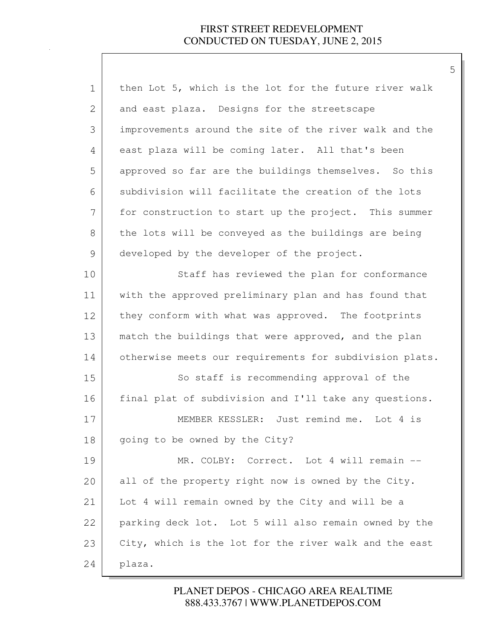| $\mathbf 1$ | then Lot 5, which is the lot for the future river walk  |
|-------------|---------------------------------------------------------|
| 2           | and east plaza. Designs for the streetscape             |
| 3           | improvements around the site of the river walk and the  |
| 4           | east plaza will be coming later. All that's been        |
| 5           | approved so far are the buildings themselves. So this   |
| 6           | subdivision will facilitate the creation of the lots    |
| 7           | for construction to start up the project. This summer   |
| 8           | the lots will be conveyed as the buildings are being    |
| 9           | developed by the developer of the project.              |
| 10          | Staff has reviewed the plan for conformance             |
| 11          | with the approved preliminary plan and has found that   |
| 12          | they conform with what was approved. The footprints     |
| 13          | match the buildings that were approved, and the plan    |
| 14          | otherwise meets our requirements for subdivision plats. |
| 15          | So staff is recommending approval of the                |
| 16          | final plat of subdivision and I'll take any questions.  |
| 17          | MEMBER KESSLER: Just remind me. Lot 4 is                |
| 18          | going to be owned by the City?                          |
| 19          | MR. COLBY:<br>Correct. Lot 4 will remain --             |
| 20          | all of the property right now is owned by the City.     |
| 21          | Lot 4 will remain owned by the City and will be a       |
| 22          | parking deck lot. Lot 5 will also remain owned by the   |
| 23          | City, which is the lot for the river walk and the east  |
| 24          | plaza.                                                  |

# 888.433.3767 | WWW.PLANETDEPOS.COM PLANET DEPOS - CHICAGO AREA REALTIME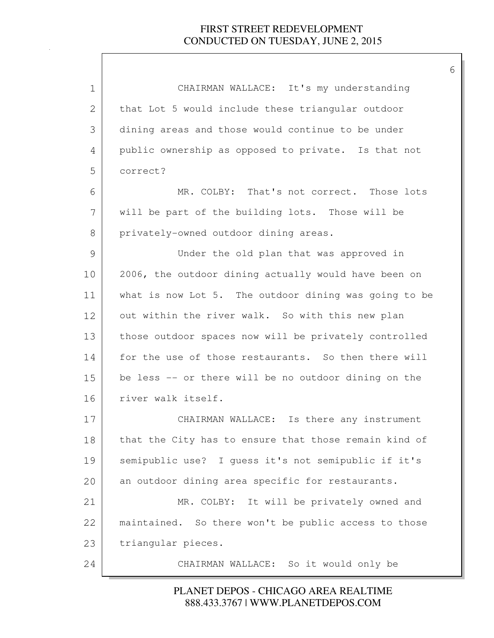| $\mathbf 1$ | CHAIRMAN WALLACE: It's my understanding               |
|-------------|-------------------------------------------------------|
| 2           | that Lot 5 would include these triangular outdoor     |
| 3           | dining areas and those would continue to be under     |
| 4           | public ownership as opposed to private. Is that not   |
| 5           | correct?                                              |
| 6           | MR. COLBY: That's not correct. Those lots             |
| 7           | will be part of the building lots. Those will be      |
| 8           | privately-owned outdoor dining areas.                 |
| 9           | Under the old plan that was approved in               |
| 10          | 2006, the outdoor dining actually would have been on  |
| 11          | what is now Lot 5. The outdoor dining was going to be |
| 12          | out within the river walk. So with this new plan      |
| 13          | those outdoor spaces now will be privately controlled |
| 14          | for the use of those restaurants. So then there will  |
| 15          | be less -- or there will be no outdoor dining on the  |
| 16          | river walk itself.                                    |
| 17          | CHAIRMAN WALLACE: Is there any instrument             |
| 18          | that the City has to ensure that those remain kind of |
| 19          | semipublic use? I quess it's not semipublic if it's   |
| 20          | an outdoor dining area specific for restaurants.      |
| 21          | It will be privately owned and<br>MR. COLBY:          |
| 22          | maintained. So there won't be public access to those  |
| 23          | triangular pieces.                                    |
| 24          | CHAIRMAN WALLACE: So it would only be                 |

### 888.433.3767 | WWW.PLANETDEPOS.COM PLANET DEPOS - CHICAGO AREA REALTIME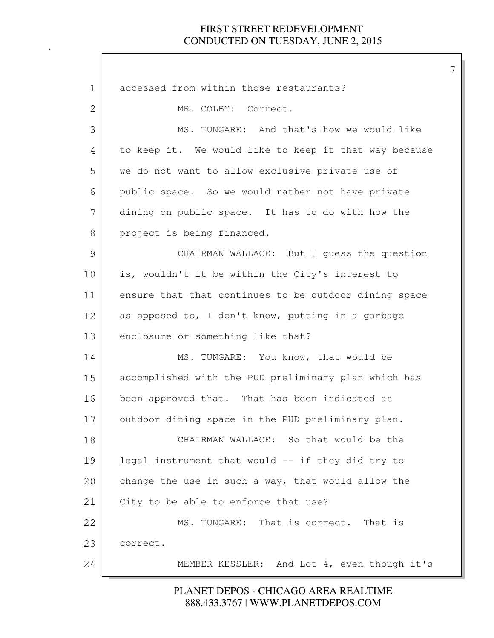| $\mathbf 1$   | accessed from within those restaurants?               |
|---------------|-------------------------------------------------------|
| $\mathbf{2}$  | MR. COLBY: Correct.                                   |
| 3             | MS. TUNGARE: And that's how we would like             |
| 4             | to keep it. We would like to keep it that way because |
| 5             | we do not want to allow exclusive private use of      |
| 6             | public space. So we would rather not have private     |
| 7             | dining on public space. It has to do with how the     |
| 8             | project is being financed.                            |
| $\mathcal{G}$ | CHAIRMAN WALLACE: But I guess the question            |
| 10            | is, wouldn't it be within the City's interest to      |
| 11            | ensure that that continues to be outdoor dining space |
| 12            | as opposed to, I don't know, putting in a garbage     |
| 13            | enclosure or something like that?                     |
| 14            | MS. TUNGARE: You know, that would be                  |
| 15            | accomplished with the PUD preliminary plan which has  |
| 16            | been approved that. That has been indicated as        |
| 17            | outdoor dining space in the PUD preliminary plan.     |
| 18            | CHAIRMAN WALLACE: So that would be the                |
| 19            | legal instrument that would -- if they did try to     |
| 20            | change the use in such a way, that would allow the    |
| 21            | City to be able to enforce that use?                  |
| 22            | MS. TUNGARE: That is correct. That is                 |
| 23            | correct.                                              |
| 24            | MEMBER KESSLER: And Lot 4, even though it's           |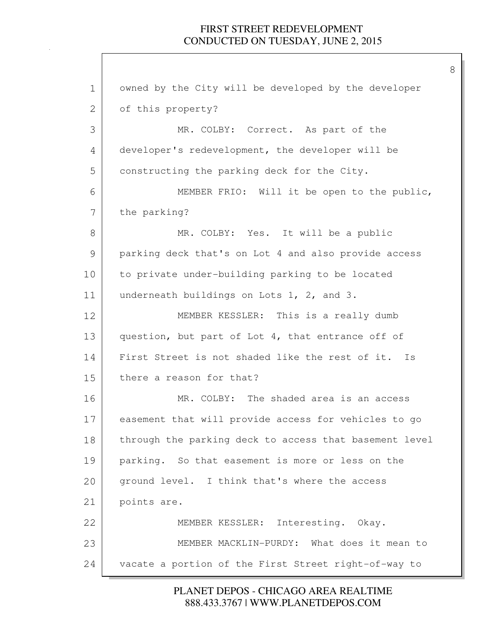8

1 owned by the City will be developed by the developer 2 of this property? 3 MR. COLBY: Correct. As part of the 4 developer's redevelopment, the developer will be 5 constructing the parking deck for the City. 6 MEMBER FRIO: Will it be open to the public, 7 the parking? 8 MR. COLBY: Yes. It will be a public 9 parking deck that's on Lot 4 and also provide access 10 to private under-building parking to be located 11 underneath buildings on Lots 1, 2, and 3. 12 MEMBER KESSLER: This is a really dumb 13 question, but part of Lot 4, that entrance off of 14 First Street is not shaded like the rest of it. Is 15 there a reason for that? 16 MR. COLBY: The shaded area is an access 17 easement that will provide access for vehicles to go 18 | through the parking deck to access that basement level 19 parking. So that easement is more or less on the 20 ground level. I think that's where the access 21 points are. 22 MEMBER KESSLER: Interesting. Okay. 23 MEMBER MACKLIN-PURDY: What does it mean to 24 vacate a portion of the First Street right-of-way to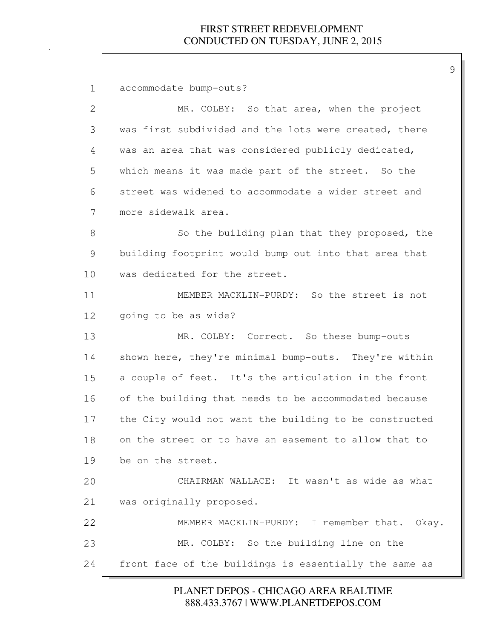1 accommodate bump-outs? 2 MR. COLBY: So that area, when the project 3 was first subdivided and the lots were created, there 4 was an area that was considered publicly dedicated, 5 which means it was made part of the street. So the 6 street was widened to accommodate a wider street and 7 more sidewalk area. 8 So the building plan that they proposed, the 9 building footprint would bump out into that area that 10 was dedicated for the street. 11 | MEMBER MACKLIN-PURDY: So the street is not 12 | going to be as wide? 13 MR. COLBY: Correct. So these bump-outs 14 Shown here, they're minimal bump-outs. They're within 15 a couple of feet. It's the articulation in the front 16 of the building that needs to be accommodated because 17 the City would not want the building to be constructed 18 on the street or to have an easement to allow that to 19 be on the street. 20 CHAIRMAN WALLACE: It wasn't as wide as what 21 was originally proposed. 22 MEMBER MACKLIN-PURDY: I remember that. Okay. 23 MR. COLBY: So the building line on the 24 front face of the buildings is essentially the same as

> 888.433.3767 | WWW.PLANETDEPOS.COM PLANET DEPOS - CHICAGO AREA REALTIME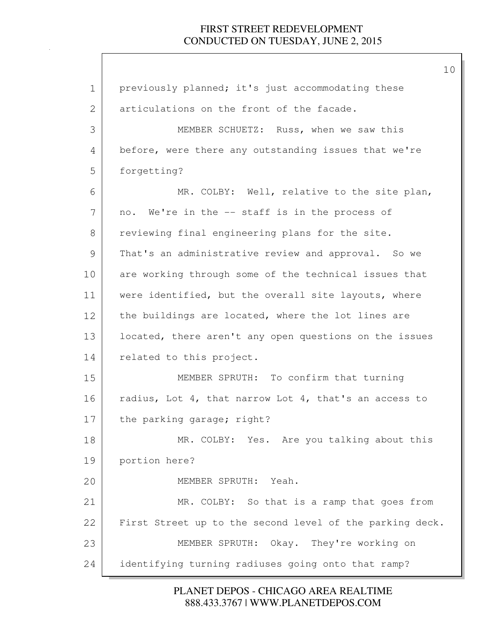| $\mathbf 1$ | previously planned; it's just accommodating these        |
|-------------|----------------------------------------------------------|
| 2           | articulations on the front of the facade.                |
| 3           | MEMBER SCHUETZ: Russ, when we saw this                   |
| 4           | before, were there any outstanding issues that we're     |
| 5           | forgetting?                                              |
| 6           | MR. COLBY: Well, relative to the site plan,              |
| 7           | no. We're in the -- staff is in the process of           |
| 8           | reviewing final engineering plans for the site.          |
| 9           | That's an administrative review and approval. So we      |
| 10          | are working through some of the technical issues that    |
| 11          | were identified, but the overall site layouts, where     |
| 12          | the buildings are located, where the lot lines are       |
| 13          | located, there aren't any open questions on the issues   |
| 14          | related to this project.                                 |
| 15          | MEMBER SPRUTH: To confirm that turning                   |
| 16          | radius, Lot 4, that narrow Lot 4, that's an access to    |
| 17          | the parking garage; right?                               |
| 18          | MR. COLBY: Yes. Are you talking about this               |
| 19          | portion here?                                            |
| 20          | MEMBER SPRUTH: Yeah.                                     |
| 21          | MR. COLBY: So that is a ramp that goes from              |
| 22          | First Street up to the second level of the parking deck. |
| 23          | MEMBER SPRUTH: Okay. They're working on                  |
| 24          | identifying turning radiuses going onto that ramp?       |

888.433.3767 | WWW.PLANETDEPOS.COM PLANET DEPOS - CHICAGO AREA REALTIME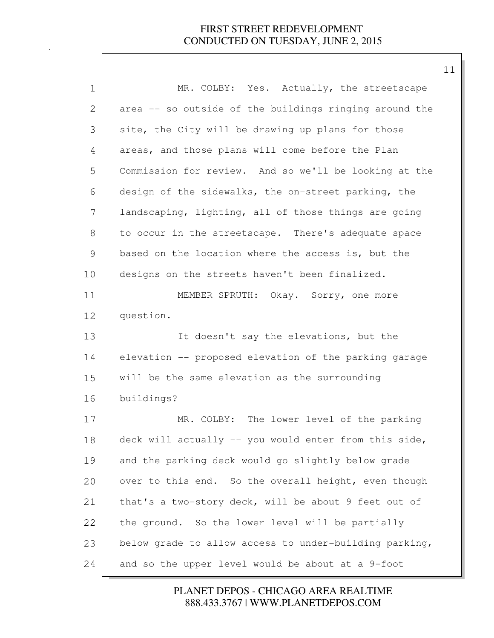| $\mathbf 1$ | MR. COLBY: Yes. Actually, the streetscape              |
|-------------|--------------------------------------------------------|
| 2           | area -- so outside of the buildings ringing around the |
| 3           | site, the City will be drawing up plans for those      |
| 4           | areas, and those plans will come before the Plan       |
| 5           | Commission for review. And so we'll be looking at the  |
| 6           | design of the sidewalks, the on-street parking, the    |
| 7           | landscaping, lighting, all of those things are going   |
| 8           | to occur in the streetscape. There's adequate space    |
| 9           | based on the location where the access is, but the     |
| 10          | designs on the streets haven't been finalized.         |
| 11          | MEMBER SPRUTH: Okay. Sorry, one more                   |
| 12          | question.                                              |
| 13          | It doesn't say the elevations, but the                 |
| 14          | elevation -- proposed elevation of the parking garage  |
| 15          | will be the same elevation as the surrounding          |
| 16          | buildings?                                             |
| 17          | MR. COLBY: The lower level of the parking              |
| 18          | deck will actually -- you would enter from this side,  |
| 19          | and the parking deck would go slightly below grade     |
| 20          | over to this end. So the overall height, even though   |
| 21          | that's a two-story deck, will be about 9 feet out of   |
| 22          | the ground. So the lower level will be partially       |
| 23          | below grade to allow access to under-building parking, |
| 24          | and so the upper level would be about at a 9-foot      |

888.433.3767 | WWW.PLANETDEPOS.COM PLANET DEPOS - CHICAGO AREA REALTIME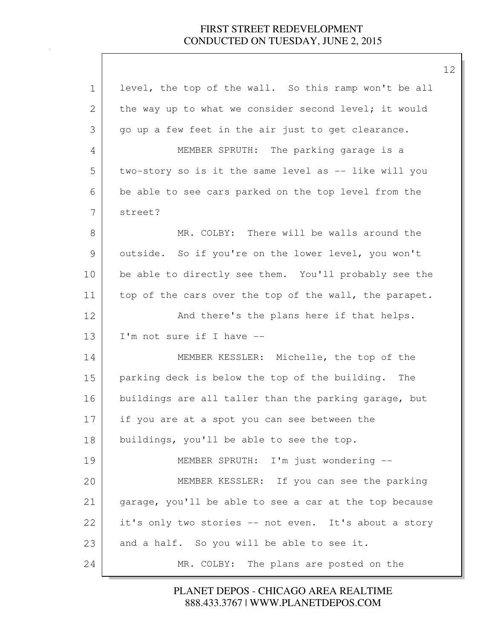| $\mathbf 1$ | level, the top of the wall. So this ramp won't be all  |
|-------------|--------------------------------------------------------|
| 2           | the way up to what we consider second level; it would  |
| 3           | go up a few feet in the air just to get clearance.     |
| 4           | MEMBER SPRUTH: The parking garage is a                 |
| 5           | two-story so is it the same level as -- like will you  |
| 6           | be able to see cars parked on the top level from the   |
| 7           | street?                                                |
| 8           | MR. COLBY: There will be walls around the              |
| 9           | outside. So if you're on the lower level, you won't    |
| 10          | be able to directly see them. You'll probably see the  |
| 11          | top of the cars over the top of the wall, the parapet. |
| 12          | And there's the plans here if that helps.              |
| 13          | I'm not sure if I have --                              |
| 14          | MEMBER KESSLER: Michelle, the top of the               |
| 15          | parking deck is below the top of the building.<br>The  |
| 16          | buildings are all taller than the parking garage, but  |
| 17          | if you are at a spot you can see between the           |
| 18          | buildings, you'll be able to see the top.              |
| 19          | MEMBER SPRUTH: I'm just wondering --                   |
| 20          | MEMBER KESSLER: If you can see the parking             |
| 21          | garage, you'll be able to see a car at the top because |
| 22          | it's only two stories -- not even. It's about a story  |
| 23          | and a half. So you will be able to see it.             |
| 24          | MR. COLBY: The plans are posted on the                 |

888.433.3767 | WWW.PLANETDEPOS.COM PLANET DEPOS - CHICAGO AREA REALTIME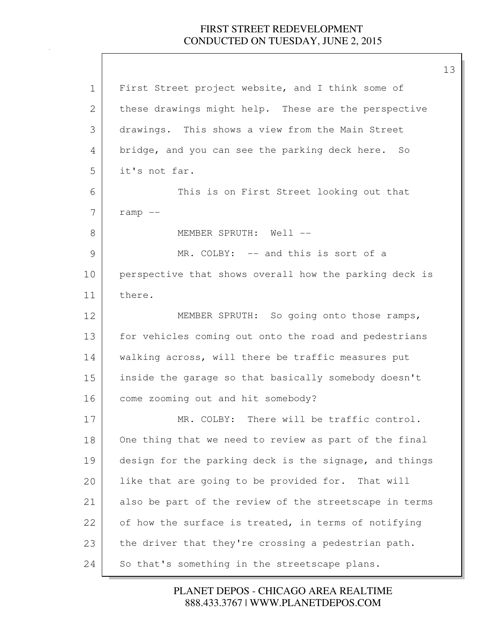| $\mathbf 1$   | First Street project website, and I think some of      |
|---------------|--------------------------------------------------------|
| 2             | these drawings might help. These are the perspective   |
| 3             | drawings. This shows a view from the Main Street       |
| 4             | bridge, and you can see the parking deck here. So      |
| 5             | it's not far.                                          |
| 6             | This is on First Street looking out that               |
| 7             | $ramp$ --                                              |
| 8             | MEMBER SPRUTH: Well --                                 |
| $\mathcal{G}$ | MR. COLBY: -- and this is sort of a                    |
| 10            | perspective that shows overall how the parking deck is |
| 11            | there.                                                 |
| 12            | MEMBER SPRUTH: So going onto those ramps,              |
| 13            | for vehicles coming out onto the road and pedestrians  |
| 14            | walking across, will there be traffic measures put     |
| 15            | inside the garage so that basically somebody doesn't   |
| 16            | come zooming out and hit somebody?                     |
| 17            | MR. COLBY: There will be traffic control.              |
| 18            | One thing that we need to review as part of the final  |
| 19            | design for the parking deck is the signage, and things |
| 20            | like that are going to be provided for. That will      |
| 21            | also be part of the review of the streetscape in terms |
| 22            | of how the surface is treated, in terms of notifying   |
| 23            | the driver that they're crossing a pedestrian path.    |
| 24            | So that's something in the streetscape plans.          |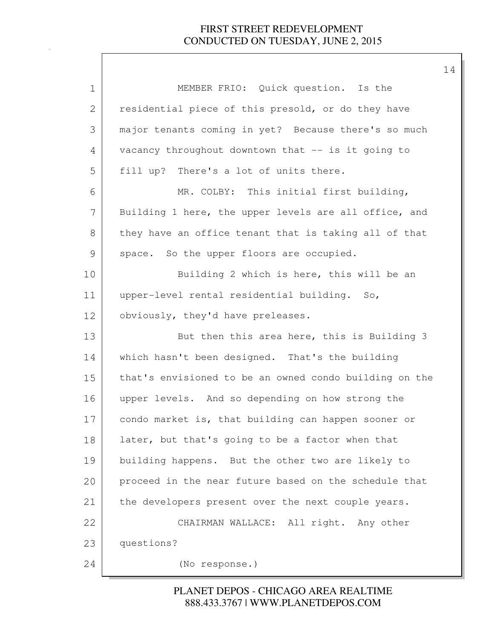| 1             | MEMBER FRIO: Quick question. Is the                    |
|---------------|--------------------------------------------------------|
| 2             | residential piece of this presold, or do they have     |
| 3             | major tenants coming in yet? Because there's so much   |
| 4             | vacancy throughout downtown that -- is it going to     |
| 5             | fill up? There's a lot of units there.                 |
| 6             | MR. COLBY: This initial first building,                |
| 7             | Building 1 here, the upper levels are all office, and  |
| 8             | they have an office tenant that is taking all of that  |
| $\mathcal{G}$ | space. So the upper floors are occupied.               |
| 10            | Building 2 which is here, this will be an              |
| 11            | upper-level rental residential building. So,           |
| 12            | obviously, they'd have preleases.                      |
| 13            | But then this area here, this is Building 3            |
| 14            | which hasn't been designed. That's the building        |
| 15            | that's envisioned to be an owned condo building on the |
| 16            | upper levels. And so depending on how strong the       |
| 17            | condo market is, that building can happen sooner or    |
| 18            | later, but that's going to be a factor when that       |
| 19            | building happens. But the other two are likely to      |
| 20            | proceed in the near future based on the schedule that  |
| 21            | the developers present over the next couple years.     |
| 22            | CHAIRMAN WALLACE: All right. Any other                 |
| 23            | questions?                                             |
| 24            | (No response.)                                         |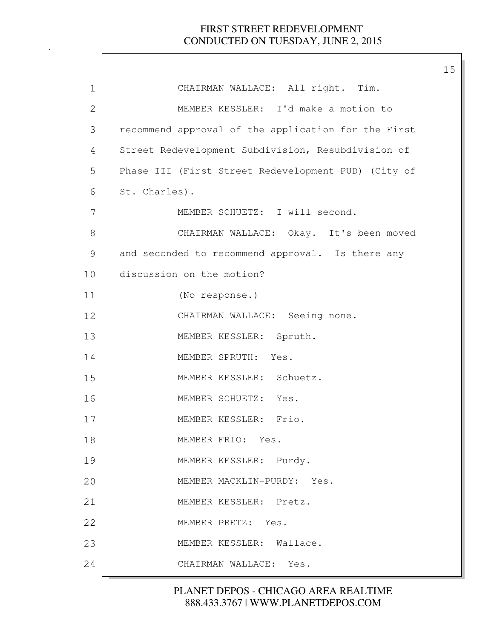| 1             | CHAIRMAN WALLACE: All right. Tim.                   |
|---------------|-----------------------------------------------------|
| 2             | MEMBER KESSLER: I'd make a motion to                |
| 3             | recommend approval of the application for the First |
| 4             | Street Redevelopment Subdivision, Resubdivision of  |
| 5             | Phase III (First Street Redevelopment PUD) (City of |
| 6             | St. Charles).                                       |
| 7             | MEMBER SCHUETZ: I will second.                      |
| 8             | CHAIRMAN WALLACE: Okay. It's been moved             |
| $\mathcal{G}$ | and seconded to recommend approval. Is there any    |
| 10            | discussion on the motion?                           |
| 11            | (No response.)                                      |
| 12            | CHAIRMAN WALLACE: Seeing none.                      |
| 13            | MEMBER KESSLER: Spruth.                             |
| 14            | MEMBER SPRUTH: Yes.                                 |
| 15            | MEMBER KESSLER: Schuetz.                            |
| 16            | MEMBER SCHUETZ: Yes.                                |
| 17            | MEMBER KESSLER: Frio.                               |
| 18            | MEMBER FRIO: Yes.                                   |
| 19            | MEMBER KESSLER: Purdy.                              |
| 20            | MEMBER MACKLIN-PURDY: Yes.                          |
| 21            | MEMBER KESSLER: Pretz.                              |
| 22            | MEMBER PRETZ: Yes.                                  |
| 23            | MEMBER KESSLER: Wallace.                            |
| 24            | CHAIRMAN WALLACE: Yes.                              |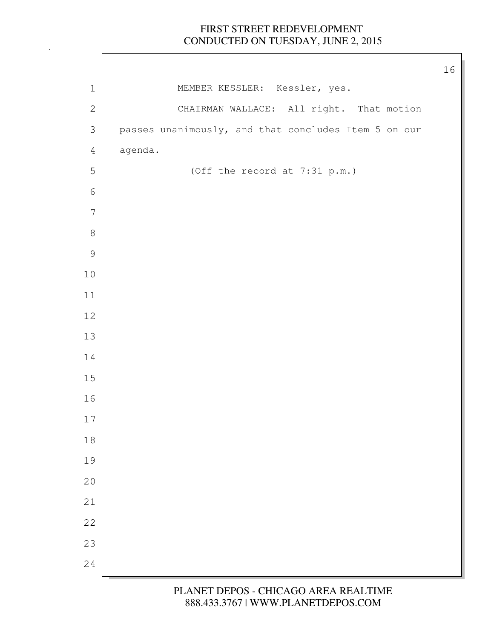$\Gamma$ 

|                 |                                                      | 16 |
|-----------------|------------------------------------------------------|----|
| $\mathbf 1$     | MEMBER KESSLER: Kessler, yes.                        |    |
| $\sqrt{2}$      | CHAIRMAN WALLACE: All right. That motion             |    |
| $\mathfrak{Z}$  | passes unanimously, and that concludes Item 5 on our |    |
| $\overline{4}$  | agenda.                                              |    |
| $\mathsf S$     | (Off the record at 7:31 p.m.)                        |    |
| $\sqrt{6}$      |                                                      |    |
| $7\phantom{.0}$ |                                                      |    |
| $\,8\,$         |                                                      |    |
| $\mathcal{G}$   |                                                      |    |
| $10\,$          |                                                      |    |
| 11              |                                                      |    |
| 12              |                                                      |    |
| 13              |                                                      |    |
| 14              |                                                      |    |
| $15\,$          |                                                      |    |
| 16              |                                                      |    |
| $17$            |                                                      |    |
| $18\,$          |                                                      |    |
| 19              |                                                      |    |
| 20              |                                                      |    |
| 21              |                                                      |    |
| 22              |                                                      |    |
| 23              |                                                      |    |
| 24              |                                                      |    |